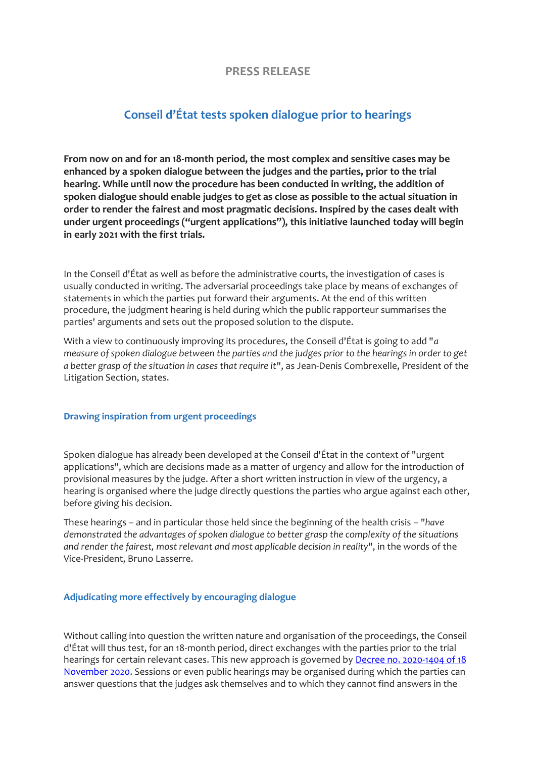## **PRESS RELEASE**

## **Conseil d'État tests spoken dialogue prior to hearings**

**From now on and for an 18-month period, the most complex and sensitive cases may be enhanced by a spoken dialogue between the judges and the parties, prior to the trial hearing. While until now the procedure has been conducted in writing, the addition of spoken dialogue should enable judges to get as close as possible to the actual situation in order to render the fairest and most pragmatic decisions. Inspired by the cases dealt with under urgent proceedings ("urgent applications"), this initiative launched today will begin in early 2021 with the first trials.**

In the Conseil d'État as well as before the administrative courts, the investigation of cases is usually conducted in writing. The adversarial proceedings take place by means of exchanges of statements in which the parties put forward their arguments. At the end of this written procedure, the judgment hearing is held during which the public rapporteur summarises the parties' arguments and sets out the proposed solution to the dispute.

With a view to continuously improving its procedures, the Conseil d'État is going to add "*a measure of spoken dialogue between the parties and the judges prior to the hearings in order to get a better grasp of the situation in cases that require it*", as Jean-Denis Combrexelle, President of the Litigation Section, states.

## **Drawing inspiration from urgent proceedings**

Spoken dialogue has already been developed at the Conseil d'État in the context of "urgent applications", which are decisions made as a matter of urgency and allow for the introduction of provisional measures by the judge. After a short written instruction in view of the urgency, a hearing is organised where the judge directly questions the parties who argue against each other, before giving his decision.

These hearings – and in particular those held since the beginning of the health crisis – "*have demonstrated the advantages of spoken dialogue to better grasp the complexity of the situations and render the fairest, most relevant and most applicable decision in reality*", in the words of the Vice-President, Bruno Lasserre.

## **Adjudicating more effectively by encouraging dialogue**

Without calling into question the written nature and organisation of the proceedings, the Conseil d'État will thus test, for an 18-month period, direct exchanges with the parties prior to the trial hearings for certain relevant cases. This new approach is governed by Decree no. 2020-1404 of 18 [November 2020.](https://www.legifrance.gouv.fr/jorf/id/JORFTEXT000042532822) Sessions or even public hearings may be organised during which the parties can answer questions that the judges ask themselves and to which they cannot find answers in the